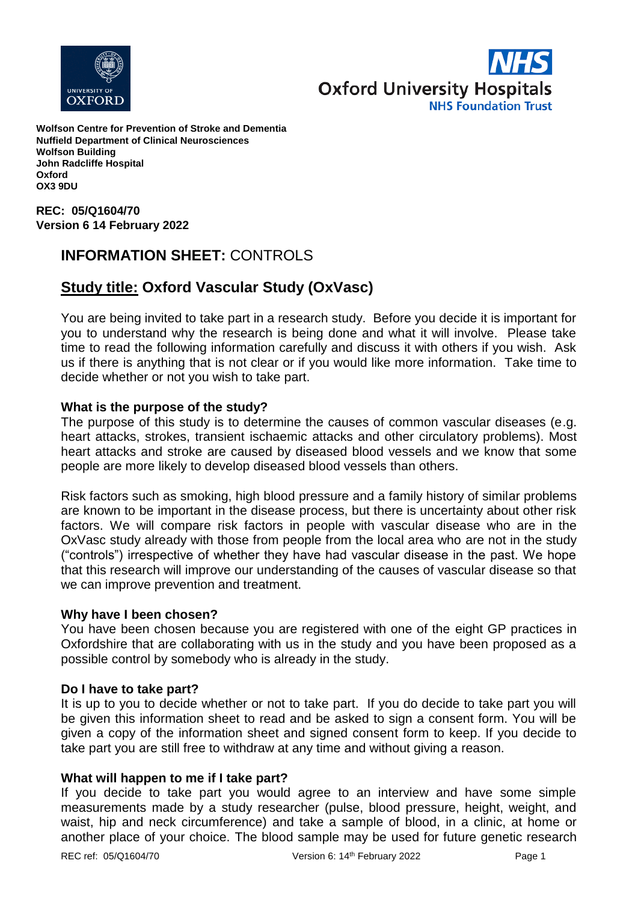



**Wolfson Centre for Prevention of Stroke and Dementia Nuffield Department of Clinical Neurosciences Wolfson Building John Radcliffe Hospital Oxford OX3 9DU**

**REC: 05/Q1604/70 Version 6 14 February 2022**

# **INFORMATION SHEET:** CONTROLS

# **Study title: Oxford Vascular Study (OxVasc)**

You are being invited to take part in a research study. Before you decide it is important for you to understand why the research is being done and what it will involve. Please take time to read the following information carefully and discuss it with others if you wish. Ask us if there is anything that is not clear or if you would like more information. Take time to decide whether or not you wish to take part.

## **What is the purpose of the study?**

The purpose of this study is to determine the causes of common vascular diseases (e.g. heart attacks, strokes, transient ischaemic attacks and other circulatory problems). Most heart attacks and stroke are caused by diseased blood vessels and we know that some people are more likely to develop diseased blood vessels than others.

Risk factors such as smoking, high blood pressure and a family history of similar problems are known to be important in the disease process, but there is uncertainty about other risk factors. We will compare risk factors in people with vascular disease who are in the OxVasc study already with those from people from the local area who are not in the study ("controls") irrespective of whether they have had vascular disease in the past. We hope that this research will improve our understanding of the causes of vascular disease so that we can improve prevention and treatment.

### **Why have I been chosen?**

You have been chosen because you are registered with one of the eight GP practices in Oxfordshire that are collaborating with us in the study and you have been proposed as a possible control by somebody who is already in the study.

### **Do I have to take part?**

It is up to you to decide whether or not to take part. If you do decide to take part you will be given this information sheet to read and be asked to sign a consent form. You will be given a copy of the information sheet and signed consent form to keep. If you decide to take part you are still free to withdraw at any time and without giving a reason.

### **What will happen to me if I take part?**

If you decide to take part you would agree to an interview and have some simple measurements made by a study researcher (pulse, blood pressure, height, weight, and waist, hip and neck circumference) and take a sample of blood, in a clinic, at home or another place of your choice. The blood sample may be used for future genetic research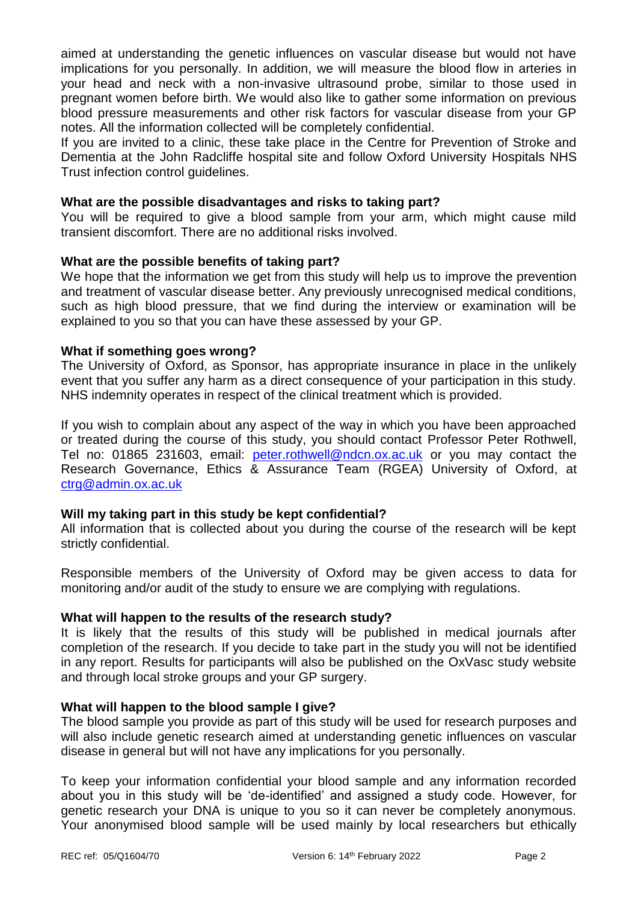aimed at understanding the genetic influences on vascular disease but would not have implications for you personally. In addition, we will measure the blood flow in arteries in your head and neck with a non-invasive ultrasound probe, similar to those used in pregnant women before birth. We would also like to gather some information on previous blood pressure measurements and other risk factors for vascular disease from your GP notes. All the information collected will be completely confidential.

If you are invited to a clinic, these take place in the Centre for Prevention of Stroke and Dementia at the John Radcliffe hospital site and follow Oxford University Hospitals NHS Trust infection control guidelines.

## **What are the possible disadvantages and risks to taking part?**

You will be required to give a blood sample from your arm, which might cause mild transient discomfort. There are no additional risks involved.

## **What are the possible benefits of taking part?**

We hope that the information we get from this study will help us to improve the prevention and treatment of vascular disease better. Any previously unrecognised medical conditions, such as high blood pressure, that we find during the interview or examination will be explained to you so that you can have these assessed by your GP.

## **What if something goes wrong?**

The University of Oxford, as Sponsor, has appropriate insurance in place in the unlikely event that you suffer any harm as a direct consequence of your participation in this study. NHS indemnity operates in respect of the clinical treatment which is provided.

If you wish to complain about any aspect of the way in which you have been approached or treated during the course of this study, you should contact Professor Peter Rothwell, Tel no: 01865 231603, email: [peter.rothwell@ndcn.ox.ac.uk](mailto:peter.rothwell@ndcn.ox.ac.uk) or you may contact the Research Governance, Ethics & Assurance Team (RGEA) University of Oxford, at [ctrg@admin.ox.ac.uk](mailto:ctrg@admin.ox.ac.uk)

# **Will my taking part in this study be kept confidential?**

All information that is collected about you during the course of the research will be kept strictly confidential.

Responsible members of the University of Oxford may be given access to data for monitoring and/or audit of the study to ensure we are complying with regulations.

# **What will happen to the results of the research study?**

It is likely that the results of this study will be published in medical journals after completion of the research. If you decide to take part in the study you will not be identified in any report. Results for participants will also be published on the OxVasc study website and through local stroke groups and your GP surgery.

### **What will happen to the blood sample I give?**

The blood sample you provide as part of this study will be used for research purposes and will also include genetic research aimed at understanding genetic influences on vascular disease in general but will not have any implications for you personally.

To keep your information confidential your blood sample and any information recorded about you in this study will be 'de-identified' and assigned a study code. However, for genetic research your DNA is unique to you so it can never be completely anonymous. Your anonymised blood sample will be used mainly by local researchers but ethically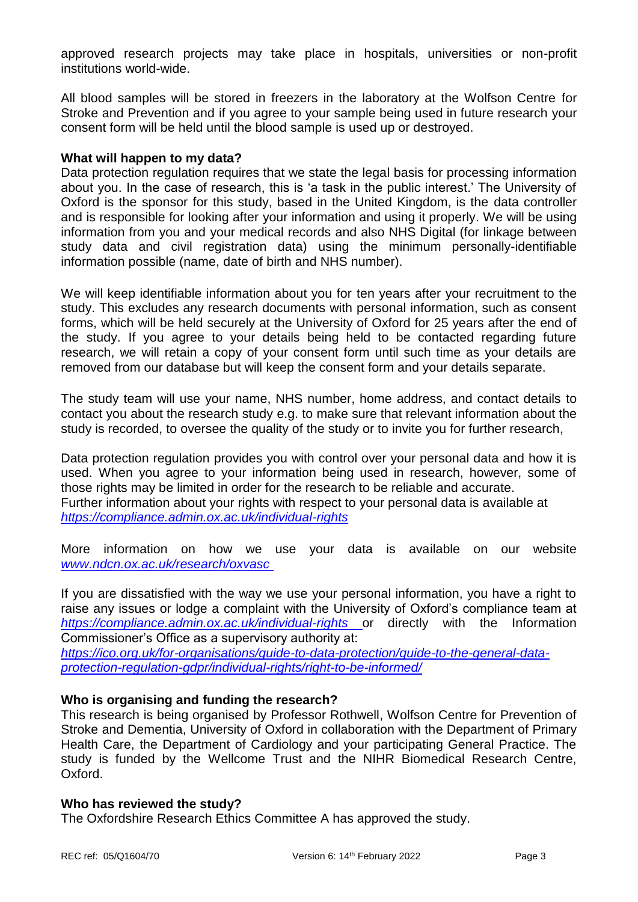approved research projects may take place in hospitals, universities or non-profit institutions world-wide.

All blood samples will be stored in freezers in the laboratory at the Wolfson Centre for Stroke and Prevention and if you agree to your sample being used in future research your consent form will be held until the blood sample is used up or destroyed.

## **What will happen to my data?**

Data protection regulation requires that we state the legal basis for processing information about you. In the case of research, this is 'a task in the public interest.' The University of Oxford is the sponsor for this study, based in the United Kingdom, is the data controller and is responsible for looking after your information and using it properly. We will be using information from you and your medical records and also NHS Digital (for linkage between study data and civil registration data) using the minimum personally-identifiable information possible (name, date of birth and NHS number).

We will keep identifiable information about you for ten years after your recruitment to the study. This excludes any research documents with personal information, such as consent forms, which will be held securely at the University of Oxford for 25 years after the end of the study. If you agree to your details being held to be contacted regarding future research, we will retain a copy of your consent form until such time as your details are removed from our database but will keep the consent form and your details separate.

The study team will use your name, NHS number, home address, and contact details to contact you about the research study e.g. to make sure that relevant information about the study is recorded, to oversee the quality of the study or to invite you for further research,

Data protection regulation provides you with control over your personal data and how it is used. When you agree to your information being used in research, however, some of those rights may be limited in order for the research to be reliable and accurate. Further information about your rights with respect to your personal data is available at *https://compliance.admin.ox.ac.uk/individual-rights*

More information on how we use your data is available on our website *[www.ndcn.ox.ac.uk/research/oxvasc](../www.ndcn.ox.ac.uk/research/oxvasc )*

If you are dissatisfied with the way we use your personal information, you have a right to raise any issues or lodge a complaint with the University of Oxford's compliance team at *<https://compliance.admin.ox.ac.uk/individual-rights>* or directly with the Information Commissioner's Office as a supervisory authority at:

*[https://ico.org.uk/for-organisations/guide-to-data-protection/guide-to-the-general-data](https://ico.org.uk/for-organisations/guide-to-data-protection/guide-to-the-general-data-protection-regulation-gdpr/individual-rights/right-to-be-informed/)[protection-regulation-gdpr/individual-rights/right-to-be-informed/](https://ico.org.uk/for-organisations/guide-to-data-protection/guide-to-the-general-data-protection-regulation-gdpr/individual-rights/right-to-be-informed/)*

# **Who is organising and funding the research?**

This research is being organised by Professor Rothwell, Wolfson Centre for Prevention of Stroke and Dementia, University of Oxford in collaboration with the Department of Primary Health Care, the Department of Cardiology and your participating General Practice. The study is funded by the Wellcome Trust and the NIHR Biomedical Research Centre, Oxford.

### **Who has reviewed the study?**

The Oxfordshire Research Ethics Committee A has approved the study.